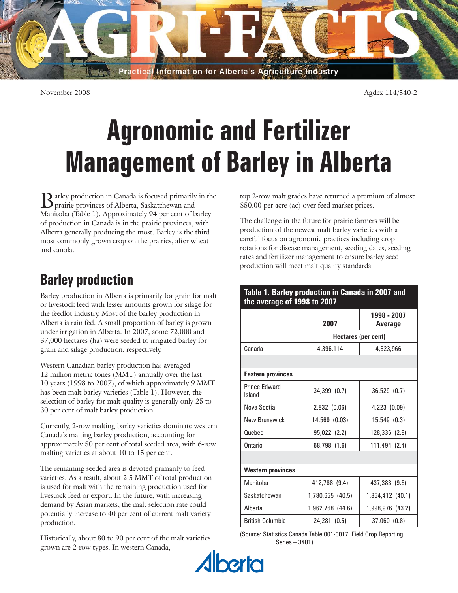

November 2008 Agdex 114/540-2

# **Agronomic and Fertilizer Management of Barley in Alberta**

B arley production in Canada is focused primarily in the prairie provinces of Alberta, Saskatchewan and Manitoba (Table 1). Approximately 94 per cent of barley of production in Canada is in the prairie provinces, with Alberta generally producing the most. Barley is the third most commonly grown crop on the prairies, after wheat and canola.

# **Barley production**

Barley production in Alberta is primarily for grain for malt or livestock feed with lesser amounts grown for silage for the feedlot industry. Most of the barley production in Alberta is rain fed. A small proportion of barley is grown under irrigation in Alberta. In 2007, some 72,000 and 37,000 hectares (ha) were seeded to irrigated barley for grain and silage production, respectively.

Western Canadian barley production has averaged 12 million metric tones (MMT) annually over the last 10 years (1998 to 2007), of which approximately 9 MMT has been malt barley varieties (Table 1). However, the selection of barley for malt quality is generally only 25 to 30 per cent of malt barley production.

Currently, 2-row malting barley varieties dominate western Canada's malting barley production, accounting for approximately 50 per cent of total seeded area, with 6-row malting varieties at about 10 to 15 per cent.

The remaining seeded area is devoted primarily to feed varieties. As a result, about 2.5 MMT of total production is used for malt with the remaining production used for livestock feed or export. In the future, with increasing demand by Asian markets, the malt selection rate could potentially increase to 40 per cent of current malt variety production.

Historically, about 80 to 90 per cent of the malt varieties grown are 2-row types. In western Canada,

top 2-row malt grades have returned a premium of almost \$50.00 per acre (ac) over feed market prices.

The challenge in the future for prairie farmers will be production of the newest malt barley varieties with a careful focus on agronomic practices including crop rotations for disease management, seeding dates, seeding rates and fertilizer management to ensure barley seed production will meet malt quality standards.

| Table 1. Barley production in Canada in 2007 and<br>the average of 1998 to 2007 |                                       |                  |  |  |  |  |
|---------------------------------------------------------------------------------|---------------------------------------|------------------|--|--|--|--|
|                                                                                 | 1998 - 2007<br>2007<br><b>Average</b> |                  |  |  |  |  |
|                                                                                 | Hectares (per cent)                   |                  |  |  |  |  |
| Canada                                                                          | 4,396,114                             | 4,623,966        |  |  |  |  |
|                                                                                 |                                       |                  |  |  |  |  |
| <b>Eastern provinces</b>                                                        |                                       |                  |  |  |  |  |
| <b>Prince Edward</b><br>Island                                                  | 34,399 (0.7)                          | 36,529 (0.7)     |  |  |  |  |
| Nova Scotia                                                                     | 2,832 (0.06)                          | 4,223 (0.09)     |  |  |  |  |
| New Brunswick                                                                   | 14,569 (0.03)                         | 15,549 (0.3)     |  |  |  |  |
| Quebec                                                                          | 95,022 (2.2)                          | 128,336 (2.8)    |  |  |  |  |
| Ontario                                                                         | 68,798 (1.6)                          | 111,494 (2.4)    |  |  |  |  |
|                                                                                 |                                       |                  |  |  |  |  |
| <b>Western provinces</b>                                                        |                                       |                  |  |  |  |  |
| Manitoba                                                                        | 412,788 (9.4)                         | 437,383 (9.5)    |  |  |  |  |
| Saskatchewan                                                                    | 1,780,655 (40.5)                      | 1,854,412 (40.1) |  |  |  |  |
| Alberta                                                                         | 1,962,768 (44.6)                      | 1,998,976 (43.2) |  |  |  |  |
| <b>British Columbia</b>                                                         | 24,281 (0.5)                          | 37,060 (0.8)     |  |  |  |  |

(Source: Statistics Canada Table 001-0017, Field Crop Reporting Series – 3401)

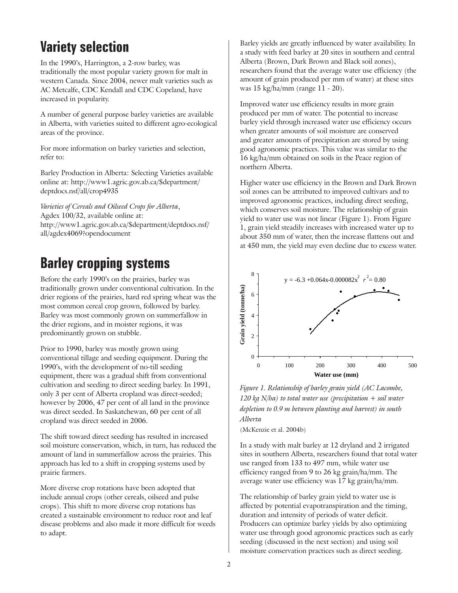### **Variety selection**

In the 1990's, Harrington, a 2-row barley, was traditionally the most popular variety grown for malt in western Canada. Since 2004, newer malt varieties such as AC Metcalfe, CDC Kendall and CDC Copeland, have increased in popularity.

A number of general purpose barley varieties are available in Alberta, with varieties suited to different agro-ecological areas of the province.

For more information on barley varieties and selection, refer to:

Barley Production in Alberta: Selecting Varieties available online at: http://www1.agric.gov.ab.ca/\$department/ deptdocs.nsf/all/crop4935

*Varieties of Cereals and Oilseed Crops for Alberta*, Agdex 100/32, available online at: http://www1.agric.gov.ab.ca/\$department/deptdocs.nsf/ all/agdex4069?opendocument

# **Barley cropping systems**

Before the early 1990's on the prairies, barley was traditionally grown under conventional cultivation. In the drier regions of the prairies, hard red spring wheat was the most common cereal crop grown, followed by barley. Barley was most commonly grown on summerfallow in the drier regions, and in moister regions, it was predominantly grown on stubble.

Prior to 1990, barley was mostly grown using conventional tillage and seeding equipment. During the 1990's, with the development of no-till seeding equipment, there was a gradual shift from conventional cultivation and seeding to direct seeding barley. In 1991, only 3 per cent of Alberta cropland was direct-seeded; however by 2006, 47 per cent of all land in the province was direct seeded. In Saskatchewan, 60 per cent of all cropland was direct seeded in 2006.

The shift toward direct seeding has resulted in increased soil moisture conservation, which, in turn, has reduced the amount of land in summerfallow across the prairies. This approach has led to a shift in cropping systems used by prairie farmers.

More diverse crop rotations have been adopted that include annual crops (other cereals, oilseed and pulse crops). This shift to more diverse crop rotations has created a sustainable environment to reduce root and leaf disease problems and also made it more difficult for weeds to adapt.

Barley yields are greatly influenced by water availability. In a study with feed barley at 20 sites in southern and central Alberta (Brown, Dark Brown and Black soil zones), researchers found that the average water use efficiency (the amount of grain produced per mm of water) at these sites was 15 kg/ha/mm (range 11 - 20).

Improved water use efficiency results in more grain produced per mm of water. The potential to increase barley yield through increased water use efficiency occurs when greater amounts of soil moisture are conserved and greater amounts of precipitation are stored by using good agronomic practices. This value was similar to the 16 kg/ha/mm obtained on soils in the Peace region of northern Alberta.

Higher water use efficiency in the Brown and Dark Brown soil zones can be attributed to improved cultivars and to improved agronomic practices, including direct seeding, which conserves soil moisture. The relationship of grain yield to water use was not linear (Figure 1). From Figure 1, grain yield steadily increases with increased water up to about 350 mm of water, then the increase flattens out and at 450 mm, the yield may even decline due to excess water.



*Figure 1. Relationship of barley grain yield (AC Lacombe, 120 kg N/ha) to total water use (precipitation + soil water depletion to 0.9 m between planting and harvest) in south Alberta*

(McKenzie et al. 2004b)

In a study with malt barley at 12 dryland and 2 irrigated sites in southern Alberta, researchers found that total water use ranged from 133 to 497 mm, while water use efficiency ranged from 9 to 26 kg grain/ha/mm. The average water use efficiency was 17 kg grain/ha/mm.

The relationship of barley grain yield to water use is affected by potential evapotranspiration and the timing, duration and intensity of periods of water deficit. Producers can optimize barley yields by also optimizing water use through good agronomic practices such as early seeding (discussed in the next section) and using soil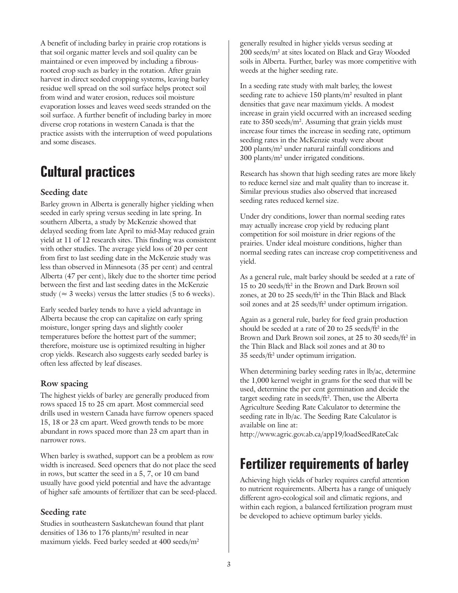A benefit of including barley in prairie crop rotations is that soil organic matter levels and soil quality can be maintained or even improved by including a fibrousrooted crop such as barley in the rotation. After grain harvest in direct seeded cropping systems, leaving barley residue well spread on the soil surface helps protect soil from wind and water erosion, reduces soil moisture evaporation losses and leaves weed seeds stranded on the soil surface. A further benefit of including barley in more diverse crop rotations in western Canada is that the practice assists with the interruption of weed populations and some diseases.

# **Cultural practices**

#### **Seeding date**

Barley grown in Alberta is generally higher yielding when seeded in early spring versus seeding in late spring. In southern Alberta, a study by McKenzie showed that delayed seeding from late April to mid-May reduced grain yield at 11 of 12 research sites. This finding was consistent with other studies. The average yield loss of 20 per cent from first to last seeding date in the McKenzie study was less than observed in Minnesota (35 per cent) and central Alberta (47 per cent), likely due to the shorter time period between the first and last seeding dates in the McKenzie study ( $\approx$  3 weeks) versus the latter studies (5 to 6 weeks).

Early seeded barley tends to have a yield advantage in Alberta because the crop can capitalize on early spring moisture, longer spring days and slightly cooler temperatures before the hottest part of the summer; therefore, moisture use is optimized resulting in higher crop yields. Research also suggests early seeded barley is often less affected by leaf diseases.

#### **Row spacing**

The highest yields of barley are generally produced from rows spaced 15 to 25 cm apart. Most commercial seed drills used in western Canada have furrow openers spaced 15, 18 or 23 cm apart. Weed growth tends to be more abundant in rows spaced more than 23 cm apart than in narrower rows.

When barley is swathed, support can be a problem as row width is increased. Seed openers that do not place the seed in rows, but scatter the seed in a 5, 7, or 10 cm band usually have good yield potential and have the advantage of higher safe amounts of fertilizer that can be seed-placed.

#### **Seeding rate**

Studies in southeastern Saskatchewan found that plant densities of 136 to 176 plants/ $m<sup>2</sup>$  resulted in near maximum yields. Feed barley seeded at 400 seeds/m<sup>2</sup>

generally resulted in higher yields versus seeding at 200 seeds/m2 at sites located on Black and Gray Wooded soils in Alberta. Further, barley was more competitive with weeds at the higher seeding rate.

In a seeding rate study with malt barley, the lowest seeding rate to achieve 150 plants/m<sup>2</sup> resulted in plant densities that gave near maximum yields. A modest increase in grain yield occurred with an increased seeding rate to 350 seeds/m<sup>2</sup>. Assuming that grain yields must increase four times the increase in seeding rate, optimum seeding rates in the McKenzie study were about 200 plants/m2 under natural rainfall conditions and 300 plants/m2 under irrigated conditions.

Research has shown that high seeding rates are more likely to reduce kernel size and malt quality than to increase it. Similar previous studies also observed that increased seeding rates reduced kernel size.

Under dry conditions, lower than normal seeding rates may actually increase crop yield by reducing plant competition for soil moisture in drier regions of the prairies. Under ideal moisture conditions, higher than normal seeding rates can increase crop competitiveness and yield.

As a general rule, malt barley should be seeded at a rate of 15 to 20 seeds/ft<sup>2</sup> in the Brown and Dark Brown soil zones, at 20 to 25 seeds/ft<sup>2</sup> in the Thin Black and Black soil zones and at 25 seeds/ft<sup>2</sup> under optimum irrigation.

Again as a general rule, barley for feed grain production should be seeded at a rate of 20 to 25 seeds/ft<sup>2</sup> in the Brown and Dark Brown soil zones, at 25 to 30 seeds/ft<sup>2</sup> in the Thin Black and Black soil zones and at 30 to 35 seeds/ft2 under optimum irrigation.

When determining barley seeding rates in lb/ac, determine the 1,000 kernel weight in grams for the seed that will be used, determine the per cent germination and decide the target seeding rate in seeds/ft2 . Then, use the Alberta Agriculture Seeding Rate Calculator to determine the seeding rate in lb/ac. The Seeding Rate Calculator is available on line at:

http://www.agric.gov.ab.ca/app19/loadSeedRateCalc

## **Fertilizer requirements of barley**

Achieving high yields of barley requires careful attention to nutrient requirements. Alberta has a range of uniquely different agro-ecological soil and climatic regions, and within each region, a balanced fertilization program must be developed to achieve optimum barley yields.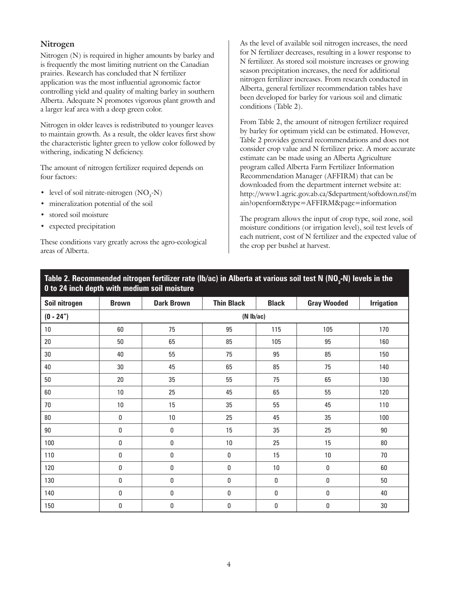#### **Nitrogen**

Nitrogen (N) is required in higher amounts by barley and is frequently the most limiting nutrient on the Canadian prairies. Research has concluded that N fertilizer application was the most influential agronomic factor controlling yield and quality of malting barley in southern Alberta. Adequate N promotes vigorous plant growth and a larger leaf area with a deep green color.

Nitrogen in older leaves is redistributed to younger leaves to maintain growth. As a result, the older leaves first show the characteristic lighter green to yellow color followed by withering, indicating N deficiency.

The amount of nitrogen fertilizer required depends on four factors:

- level of soil nitrate-nitrogen  $(NO<sub>3</sub>-N)$
- mineralization potential of the soil
- stored soil moisture
- expected precipitation

These conditions vary greatly across the agro-ecological areas of Alberta.

As the level of available soil nitrogen increases, the need for N fertilizer decreases, resulting in a lower response to N fertilizer. As stored soil moisture increases or growing season precipitation increases, the need for additional nitrogen fertilizer increases. From research conducted in Alberta, general fertilizer recommendation tables have been developed for barley for various soil and climatic conditions (Table 2).

From Table 2, the amount of nitrogen fertilizer required by barley for optimum yield can be estimated. However, Table 2 provides general recommendations and does not consider crop value and N fertilizer price. A more accurate estimate can be made using an Alberta Agriculture program called Alberta Farm Fertilizer Information Recommendation Manager (AFFIRM) that can be downloaded from the department internet website at: http://www1.agric.gov.ab.ca/\$department/softdown.nsf/m ain?openform&type=AFFIRM&page=information

The program allows the input of crop type, soil zone, soil moisture conditions (or irrigation level), soil test levels of each nutrient, cost of N fertilizer and the expected value of the crop per bushel at harvest.

| Soil nitrogen | <b>Brown</b>   | <b>Dark Brown</b> | <b>Thin Black</b> | <b>Black</b> | <b>Gray Wooded</b> | <b>Irrigation</b> |
|---------------|----------------|-------------------|-------------------|--------------|--------------------|-------------------|
| $(0 - 24")$   | $(N \, lb/ac)$ |                   |                   |              |                    |                   |
| $10\,$        | 60             | 75                | 95                | 115          | 105                | 170               |
| $20\,$        | 50             | 65                | 85                | 105          | 95                 | 160               |
| $30\,$        | 40             | 55                | 75                | 95           | 85                 | 150               |
| 40            | 30             | 45                | 65                | 85           | 75                 | 140               |
| $50\,$        | 20             | 35                | 55                | 75           | 65                 | 130               |
| $60\,$        | 10             | 25                | 45                | 65           | 55                 | 120               |
| $70\,$        | 10             | 15                | 35                | 55           | 45                 | 110               |
| $80\,$        | $\pmb{0}$      | 10                | 25                | 45           | 35                 | 100               |
| $90\,$        | $\pmb{0}$      | 0                 | 15                | 35           | 25                 | 90                |
| 100           | $\pmb{0}$      | $\pmb{0}$         | $10\,$            | 25           | 15                 | $80\,$            |
| 110           | $\pmb{0}$      | $\pmb{0}$         | 0                 | 15           | 10                 | 70                |
| 120           | $\pmb{0}$      | $\pmb{0}$         | 0                 | 10           | $\pmb{0}$          | 60                |
| 130           | $\pmb{0}$      | $\pmb{0}$         | 0                 | 0            | 0                  | 50                |
| 140           | $\mathbf 0$    | $\pmb{0}$         | 0                 | 0            | 0                  | 40                |
| 150           | 0              | $\pmb{0}$         | 0                 | $\pmb{0}$    | $\pmb{0}$          | 30                |

#### Table 2. Recommended nitrogen fertilizer rate (Ib/ac) in Alberta at various soil test N (NO<sub>3</sub>-N) levels in the **0 to 24 inch depth with medium soil moisture**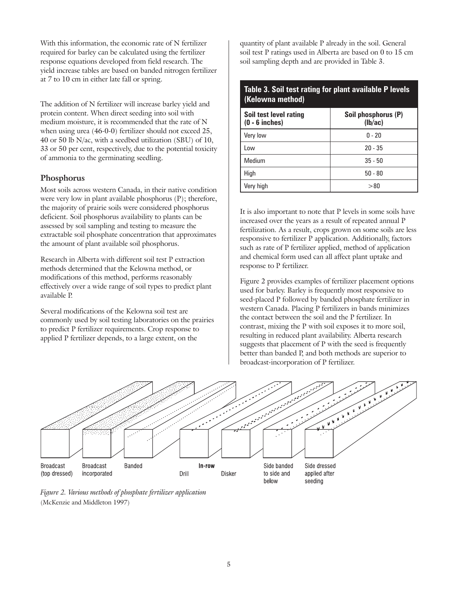With this information, the economic rate of N fertilizer required for barley can be calculated using the fertilizer response equations developed from field research. The yield increase tables are based on banded nitrogen fertilizer at 7 to 10 cm in either late fall or spring.

The addition of N fertilizer will increase barley yield and protein content. When direct seeding into soil with medium moisture, it is recommended that the rate of N when using urea (46-0-0) fertilizer should not exceed 25, 40 or 50 lb N/ac, with a seedbed utilization (SBU) of 10, 33 or 50 per cent, respectively, due to the potential toxicity of ammonia to the germinating seedling.

#### **Phosphorus**

Most soils across western Canada, in their native condition were very low in plant available phosphorus (P); therefore, the majority of prairie soils were considered phosphorus deficient. Soil phosphorus availability to plants can be assessed by soil sampling and testing to measure the extractable soil phosphate concentration that approximates the amount of plant available soil phosphorus.

Research in Alberta with different soil test P extraction methods determined that the Kelowna method, or modifications of this method, performs reasonably effectively over a wide range of soil types to predict plant available P.

Several modifications of the Kelowna soil test are commonly used by soil testing laboratories on the prairies to predict P fertilizer requirements. Crop response to applied P fertilizer depends, to a large extent, on the

quantity of plant available P already in the soil. General soil test P ratings used in Alberta are based on 0 to 15 cm soil sampling depth and are provided in Table 3.

**Table 3. Soil test rating for plant available P levels** 

| (Kelowna method)                           |                                |  |  |  |  |
|--------------------------------------------|--------------------------------|--|--|--|--|
| Soil test level rating<br>$(0 - 6$ inches) | Soil phosphorus (P)<br>(lb/ac) |  |  |  |  |
| Very low                                   | $0 - 20$                       |  |  |  |  |
| Low                                        | $20 - 35$                      |  |  |  |  |
| Medium                                     | $35 - 50$                      |  |  |  |  |
| High                                       | $50 - 80$                      |  |  |  |  |
| Very high                                  | > 80                           |  |  |  |  |

It is also important to note that P levels in some soils have increased over the years as a result of repeated annual P fertilization. As a result, crops grown on some soils are less responsive to fertilizer P application. Additionally, factors such as rate of P fertilizer applied, method of application and chemical form used can all affect plant uptake and response to P fertilizer.

Figure 2 provides examples of fertilizer placement options used for barley. Barley is frequently most responsive to seed-placed P followed by banded phosphate fertilizer in western Canada. Placing P fertilizers in bands minimizes the contact between the soil and the P fertilizer. In contrast, mixing the P with soil exposes it to more soil, resulting in reduced plant availability. Alberta research suggests that placement of P with the seed is frequently better than banded P, and both methods are superior to broadcast-incorporation of P fertilizer.



*Figure 2. Various methods of phosphate fertilizer application* (McKenzie and Middleton 1997)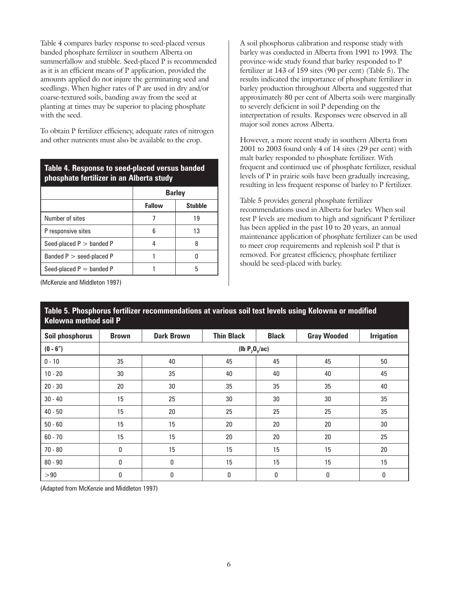Table 4 compares barley response to seed-placed versus banded phosphate fertilizer in southern Alberta on summerfallow and stubble. Seed-placed P is recommended as it is an efficient means of P application, provided the amounts applied do not injure the germinating seed and seedlings. When higher rates of P are used in dry and/or coarse-textured soils, banding away from the seed at planting at times may be superior to placing phosphate with the seed.

To obtain P fertilizer efficiency, adequate rates of nitrogen and other nutrients must also be available to the crop.

#### **Table 4. Response to seed-placed versus banded phosphate fertilizer in an Alberta study**

|                            | <b>Barley</b> |                |  |  |
|----------------------------|---------------|----------------|--|--|
|                            | <b>Fallow</b> | <b>Stubble</b> |  |  |
| Number of sites            |               | 19             |  |  |
| P responsive sites         | հ             | 13             |  |  |
| Seed-placed $P >$ banded P |               |                |  |  |
| Banded $P >$ seed-placed P |               |                |  |  |
| Seed-placed $P =$ banded P |               | h              |  |  |

A soil phosphorus calibration and response study with barley was conducted in Alberta from 1991 to 1993. The province-wide study found that barley responded to P fertilizer at 143 of 159 sites (90 per cent) (Table 5). The results indicated the importance of phosphate fertilizer in barley production throughout Alberta and suggested that approximately 80 per cent of Alberta soils were marginally to severely deficient in soil P depending on the interpretation of results. Responses were observed in all major soil zones across Alberta.

However, a more recent study in southern Alberta from 2001 to 2003 found only 4 of 14 sites (29 per cent) with malt barley responded to phosphate fertilizer. With frequent and continued use of phosphate fertilizer, residual levels of P in prairie soils have been gradually increasing, resulting in less frequent response of barley to P fertilizer.

Table 5 provides general phosphate fertilizer recommendations used in Alberta for barley. When soil test P levels are medium to high and significant P fertilizer has been applied in the past 10 to 20 years, an annual maintenance application of phosphate fertilizer can be used to meet crop requirements and replenish soil P that is removed. For greatest efficiency, phosphate fertilizer should be seed-placed with barley.

(McKenzie and Middleton 1997)

#### **Table 5. Phosphorus fertilizer recommendations at various soil test levels using Kelowna or modified Kelowna method soil P**

| <b>Soil phosphorus</b> | <b>Brown</b>      | <b>Dark Brown</b> | <b>Thin Black</b> | <b>Black</b> | <b>Gray Wooded</b> | <b>Irrigation</b> |
|------------------------|-------------------|-------------------|-------------------|--------------|--------------------|-------------------|
| $(0 - 6")$             | (lb $P_2O_s$ /ac) |                   |                   |              |                    |                   |
| $0 - 10$               | 35                | 40                | 45                | 45           | 45                 | 50                |
| $10 - 20$              | 30                | 35                | 40                | 40           | 40                 | 45                |
| $20 - 30$              | 20                | 30                | 35                | 35           | 35                 | 40                |
| $30 - 40$              | 15                | 25                | 30                | 30           | 30                 | 35                |
| $40 - 50$              | 15                | 20                | 25                | 25           | 25                 | 35                |
| $50 - 60$              | 15                | 15                | 20                | 20           | 20                 | 30                |
| $60 - 70$              | 15                | 15                | 20                | 20           | 20                 | 25                |
| $70 - 80$              | 0                 | 15                | 15                | 15           | 15                 | 20                |
| $80 - 90$              | 0                 | 0                 | 15                | 15           | 15                 | 15                |
| >90                    | 0                 | 0                 | 0                 | 0            | 0                  | $\mathbf 0$       |

(Adapted from McKenzie and Middleton 1997)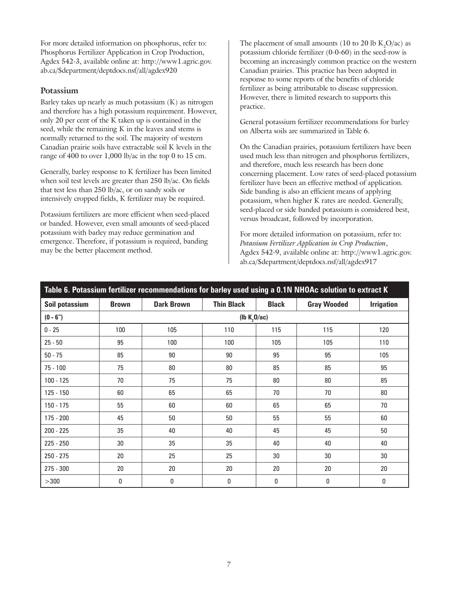For more detailed information on phosphorus, refer to: Phosphorus Fertilizer Application in Crop Production, Agdex 542-3, available online at: http://www1.agric.gov. ab.ca/\$department/deptdocs.nsf/all/agdex920

#### **Potassium**

Barley takes up nearly as much potassium (K) as nitrogen and therefore has a high potassium requirement. However, only 20 per cent of the K taken up is contained in the seed, while the remaining K in the leaves and stems is normally returned to the soil. The majority of western Canadian prairie soils have extractable soil K levels in the range of 400 to over 1,000 lb/ac in the top 0 to 15 cm.

Generally, barley response to K fertilizer has been limited when soil test levels are greater than 250 lb/ac. On fields that test less than 250 lb/ac, or on sandy soils or intensively cropped fields, K fertilizer may be required.

Potassium fertilizers are more efficient when seed-placed or banded. However, even small amounts of seed-placed potassium with barley may reduce germination and emergence. Therefore, if potassium is required, banding may be the better placement method.

The placement of small amounts (10 to 20 lb  $K_2O/ac$ ) as potassium chloride fertilizer (0-0-60) in the seed-row is becoming an increasingly common practice on the western Canadian prairies. This practice has been adopted in response to some reports of the benefits of chloride fertilizer as being attributable to disease suppression. However, there is limited research to supports this practice.

General potassium fertilizer recommendations for barley on Alberta soils are summarized in Table 6.

On the Canadian prairies, potassium fertilizers have been used much less than nitrogen and phosphorus fertilizers, and therefore, much less research has been done concerning placement. Low rates of seed-placed potassium fertilizer have been an effective method of application. Side banding is also an efficient means of applying potassium, when higher K rates are needed. Generally, seed-placed or side banded potassium is considered best, versus broadcast, followed by incorporation.

For more detailed information on potassium, refer to: *Potassium Fertilizer Application in Crop Production*, Agdex 542-9, available online at: http://www1.agric.gov. ab.ca/\$department/deptdocs.nsf/all/agdex917

| Table 6. Potassium fertilizer recommendations for barley used using a 0.1N NHOAc solution to extract K |                                      |                   |                   |              |                    |                   |
|--------------------------------------------------------------------------------------------------------|--------------------------------------|-------------------|-------------------|--------------|--------------------|-------------------|
| Soil potassium                                                                                         | <b>Brown</b>                         | <b>Dark Brown</b> | <b>Thin Black</b> | <b>Black</b> | <b>Gray Wooded</b> | <b>Irrigation</b> |
| $(0 - 6")$                                                                                             | ( $\mathsf{lb}$ K <sub>2</sub> O/ac) |                   |                   |              |                    |                   |
| $0 - 25$                                                                                               | 100                                  | 105               | 110               | 115          | 115                | 120               |
| $25 - 50$                                                                                              | 95                                   | 100               | 100               | 105          | 105                | 110               |
| $50 - 75$                                                                                              | 85                                   | 90                | 90                | 95           | 95                 | 105               |
| $75 - 100$                                                                                             | 75                                   | 80                | 80                | 85           | 85                 | 95                |
| $100 - 125$                                                                                            | 70                                   | 75                | 75                | 80           | 80                 | 85                |
| 125 - 150                                                                                              | 60                                   | 65                | 65                | 70           | 70                 | 80                |
| 150 - 175                                                                                              | 55                                   | 60                | 60                | 65           | 65                 | 70                |
| 175 - 200                                                                                              | 45                                   | 50                | 50                | 55           | 55                 | 60                |
| 200 - 225                                                                                              | 35                                   | 40                | 40                | 45           | 45                 | 50                |
| $225 - 250$                                                                                            | 30                                   | 35                | 35                | 40           | 40                 | 40                |
| $250 - 275$                                                                                            | 20                                   | 25                | 25                | 30           | 30                 | 30                |
| 275 - 300                                                                                              | 20                                   | 20                | 20                | 20           | 20                 | 20                |
| >300                                                                                                   | 0                                    | 0                 | 0                 | 0            | 0                  | 0                 |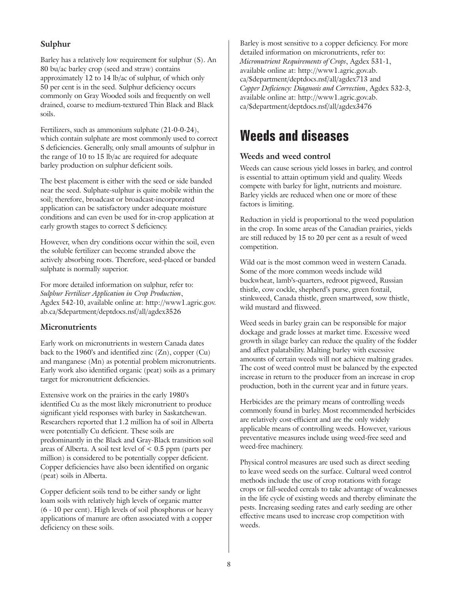#### **Sulphur**

Barley has a relatively low requirement for sulphur (S). An 80 bu/ac barley crop (seed and straw) contains approximately 12 to 14 lb/ac of sulphur, of which only 50 per cent is in the seed. Sulphur deficiency occurs commonly on Gray Wooded soils and frequently on well drained, coarse to medium-textured Thin Black and Black soils.

Fertilizers, such as ammonium sulphate (21-0-0-24), which contain sulphate are most commonly used to correct S deficiencies. Generally, only small amounts of sulphur in the range of 10 to 15 lb/ac are required for adequate barley production on sulphur deficient soils.

The best placement is either with the seed or side banded near the seed. Sulphate-sulphur is quite mobile within the soil; therefore, broadcast or broadcast-incorporated application can be satisfactory under adequate moisture conditions and can even be used for in-crop application at early growth stages to correct S deficiency.

However, when dry conditions occur within the soil, even the soluble fertilizer can become stranded above the actively absorbing roots. Therefore, seed-placed or banded sulphate is normally superior.

For more detailed information on sulphur, refer to: *Sulphur Fertilizer Application in Crop Production*, Agdex 542-10, available online at: http://www1.agric.gov. ab.ca/\$department/deptdocs.nsf/all/agdex3526

#### **Micronutrients**

Early work on micronutrients in western Canada dates back to the 1960's and identified zinc (Zn), copper (Cu) and manganese (Mn) as potential problem micronutrients. Early work also identified organic (peat) soils as a primary target for micronutrient deficiencies.

Extensive work on the prairies in the early 1980's identified Cu as the most likely micronutrient to produce significant yield responses with barley in Saskatchewan. Researchers reported that 1.2 million ha of soil in Alberta were potentially Cu deficient. These soils are predominantly in the Black and Gray-Black transition soil areas of Alberta. A soil test level of < 0.5 ppm (parts per million) is considered to be potentially copper deficient. Copper deficiencies have also been identified on organic (peat) soils in Alberta.

Copper deficient soils tend to be either sandy or light loam soils with relatively high levels of organic matter (6 - 10 per cent). High levels of soil phosphorus or heavy applications of manure are often associated with a copper deficiency on these soils.

Barley is most sensitive to a copper deficiency. For more detailed information on micronutrients, refer to: *Micronutrient Requirements of Crops*, Agdex 531-1, available online at: http://www1.agric.gov.ab. ca/\$department/deptdocs.nsf/all/agdex713 and *Copper Deficiency: Diagnosis and Correction*, Agdex 532-3, available online at: http://www1.agric.gov.ab. ca/\$department/deptdocs.nsf/all/agdex3476

### **Weeds and diseases**

#### **Weeds and weed control**

Weeds can cause serious yield losses in barley, and control is essential to attain optimum yield and quality. Weeds compete with barley for light, nutrients and moisture. Barley yields are reduced when one or more of these factors is limiting.

Reduction in yield is proportional to the weed population in the crop. In some areas of the Canadian prairies, yields are still reduced by 15 to 20 per cent as a result of weed competition.

Wild oat is the most common weed in western Canada. Some of the more common weeds include wild buckwheat, lamb's-quarters, redroot pigweed, Russian thistle, cow cockle, shepherd's purse, green foxtail, stinkweed, Canada thistle, green smartweed, sow thistle, wild mustard and flixweed.

Weed seeds in barley grain can be responsible for major dockage and grade losses at market time. Excessive weed growth in silage barley can reduce the quality of the fodder and affect palatability. Malting barley with excessive amounts of certain weeds will not achieve malting grades. The cost of weed control must be balanced by the expected increase in return to the producer from an increase in crop production, both in the current year and in future years.

Herbicides are the primary means of controlling weeds commonly found in barley. Most recommended herbicides are relatively cost-efficient and are the only widely applicable means of controlling weeds. However, various preventative measures include using weed-free seed and weed-free machinery.

Physical control measures are used such as direct seeding to leave weed seeds on the surface. Cultural weed control methods include the use of crop rotations with forage crops or fall-seeded cereals to take advantage of weaknesses in the life cycle of existing weeds and thereby eliminate the pests. Increasing seeding rates and early seeding are other effective means used to increase crop competition with weeds.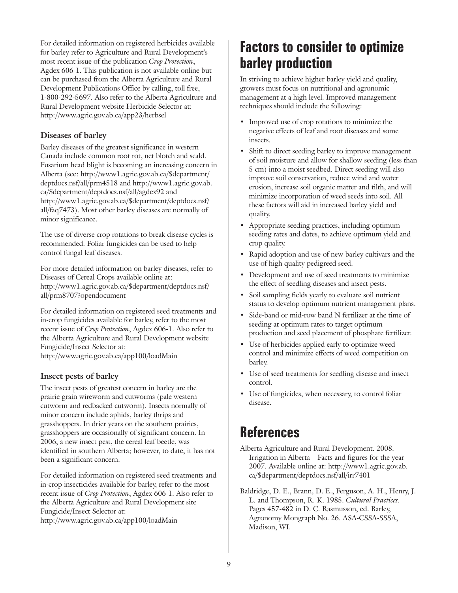For detailed information on registered herbicides available for barley refer to Agriculture and Rural Development's most recent issue of the publication *Crop Protection*, Agdex 606-1. This publication is not available online but can be purchased from the Alberta Agriculture and Rural Development Publications Office by calling, toll free, 1-800-292-5697. Also refer to the Alberta Agriculture and Rural Development website Herbicide Selector at: http://www.agric.gov.ab.ca/app23/herbsel

#### **Diseases of barley**

Barley diseases of the greatest significance in western Canada include common root rot, net blotch and scald. Fusarium head blight is becoming an increasing concern in Alberta (see: http://www1.agric.gov.ab.ca/\$department/ deptdocs.nsf/all/prm4518 and http://www1.agric.gov.ab. ca/\$department/deptdocs.nsf/all/agdex92 and http://www1.agric.gov.ab.ca/\$department/deptdocs.nsf/ all/faq7473). Most other barley diseases are normally of minor significance.

The use of diverse crop rotations to break disease cycles is recommended. Foliar fungicides can be used to help control fungal leaf diseases.

For more detailed information on barley diseases, refer to Diseases of Cereal Crops available online at: http://www1.agric.gov.ab.ca/\$department/deptdocs.nsf/ all/prm8707?opendocument

For detailed information on registered seed treatments and in-crop fungicides available for barley, refer to the most recent issue of *Crop Protection*, Agdex 606-1. Also refer to the Alberta Agriculture and Rural Development website Fungicide/Insect Selector at: http://www.agric.gov.ab.ca/app100/loadMain

#### **Insect pests of barley**

The insect pests of greatest concern in barley are the prairie grain wireworm and cutworms (pale western cutworm and redbacked cutworm). Insects normally of minor concern include aphids, barley thrips and grasshoppers. In drier years on the southern prairies, grasshoppers are occasionally of significant concern. In 2006, a new insect pest, the cereal leaf beetle, was identified in southern Alberta; however, to date, it has not been a significant concern.

For detailed information on registered seed treatments and in-crop insecticides available for barley, refer to the most recent issue of *Crop Protection*, Agdex 606-1. Also refer to the Alberta Agriculture and Rural Development site Fungicide/Insect Selector at:

http://www.agric.gov.ab.ca/app100/loadMain

### **Factors to consider to optimize barley production**

In striving to achieve higher barley yield and quality, growers must focus on nutritional and agronomic management at a high level. Improved management techniques should include the following:

- Improved use of crop rotations to minimize the negative effects of leaf and root diseases and some insects.
- Shift to direct seeding barley to improve management of soil moisture and allow for shallow seeding (less than 5 cm) into a moist seedbed. Direct seeding will also improve soil conservation, reduce wind and water erosion, increase soil organic matter and tilth, and will minimize incorporation of weed seeds into soil. All these factors will aid in increased barley yield and quality.
- Appropriate seeding practices, including optimum seeding rates and dates, to achieve optimum yield and crop quality.
- Rapid adoption and use of new barley cultivars and the use of high quality pedigreed seed.
- Development and use of seed treatments to minimize the effect of seedling diseases and insect pests.
- Soil sampling fields yearly to evaluate soil nutrient status to develop optimum nutrient management plans.
- Side-band or mid-row band N fertilizer at the time of seeding at optimum rates to target optimum production and seed placement of phosphate fertilizer.
- Use of herbicides applied early to optimize weed control and minimize effects of weed competition on barley.
- Use of seed treatments for seedling disease and insect control.
- Use of fungicides, when necessary, to control foliar disease.

### **References**

Alberta Agriculture and Rural Development. 2008. Irrigation in Alberta – Facts and figures for the year 2007. Available online at: http://www1.agric.gov.ab. ca/\$department/deptdocs.nsf/all/irr7401

Baldridge, D. E., Brann, D. E., Ferguson, A. H., Henry, J. L. and Thompson, R. K. 1985. *Cultural Practices*. Pages 457-482 in D. C. Rasmusson, ed. Barley, Agronomy Mongraph No. 26. ASA-CSSA-SSSA, Madison, WI.